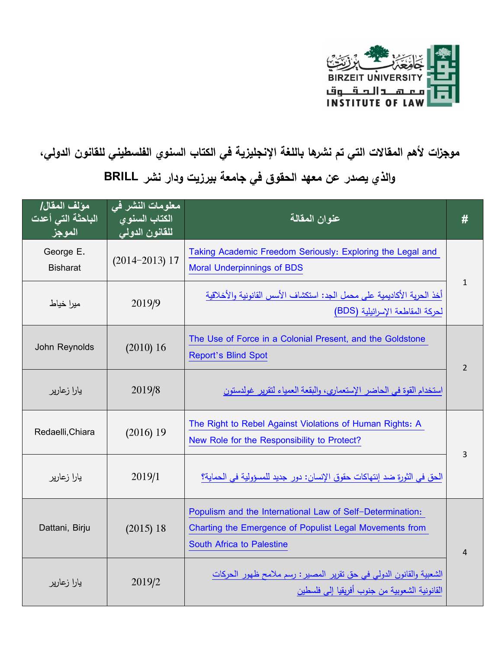

## موجزات لأهم المقالات التي تم نشرها باللغة الإنجليزية في الكتاب السنوي الفلسطيني للقانون الدولي، والذي يصدر عن معهد الحقوق ف*ي* جامعة بيرزيت ودار نشر BRILL

| مؤلف المقال/<br>الباحثة التي أعدت<br>الموجز | معلومات النشر في<br>الكتاب السنو <u>ي</u><br>للقانون الدول <i>ى</i> | عنوان المقالة                                                                                                                                            | #              |
|---------------------------------------------|---------------------------------------------------------------------|----------------------------------------------------------------------------------------------------------------------------------------------------------|----------------|
| George E.<br><b>Bisharat</b>                | $(2014 - 2013)$ 17                                                  | Taking Academic Freedom Seriously: Exploring the Legal and<br><b>Moral Underpinnings of BDS</b>                                                          |                |
| ميرا خياط                                   | 2019/9                                                              | أخذ الحرية الأكاديمية على محمل الجد: استكشاف الأسس القانونية والأخلاقية<br>لحركة المقاطعة الإسرائيلية (BDS)                                              | $\mathbf{1}$   |
| John Reynolds                               | (2010) 16                                                           | The Use of Force in a Colonial Present, and the Goldstone<br><b>Report's Blind Spot</b>                                                                  | $\overline{2}$ |
| يارا زعارير                                 | 2019/8                                                              | استخدام القوة في الحاضر الإستعماري، والبقعة العمياء لتقرير غولدستون                                                                                      |                |
| Redaelli, Chiara                            | $(2016)$ 19                                                         | The Right to Rebel Against Violations of Human Rights: A<br>New Role for the Responsibility to Protect?                                                  | 3              |
| يارا زعارير                                 | 2019/1                                                              | الحق في الثورة ضد إنتهاكات حقوق الإنسان: دور جديد للمسؤولية في الحماية؟                                                                                  |                |
| Dattani, Birju                              | (2015) 18                                                           | Populism and the International Law of Self-Determination:<br>Charting the Emergence of Populist Legal Movements from<br><b>South Africa to Palestine</b> | 4              |
| يارا زعارير                                 | 2019/2                                                              | الشعبية والقانون الدولي في حق تقرير المصير : رسم ملامح ظهور الحركات<br>القانونية الشعوبية من جنوب أفريقيا إلى فلسطين                                     |                |